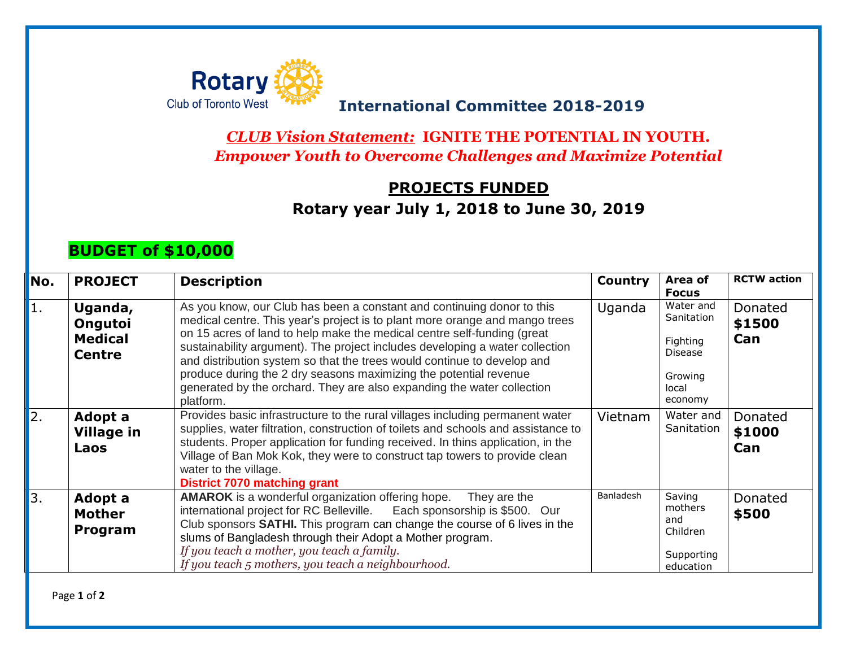

## **International Committee 2018-2019**

*CLUB Vision Statement:* **IGNITE THE POTENTIAL IN YOUTH.** *Empower Youth to Overcome Challenges and Maximize Potential*

## **PROJECTS FUNDED Rotary year July 1, 2018 to June 30, 2019**

## **BUDGET of \$10,000**

| No. | <b>PROJECT</b>                                        | <b>Description</b>                                                                                                                                                                                                                                                                                                                                                                                                                                                                                                                                      | <b>Country</b> | Area of<br><b>Focus</b>                                                              | <b>RCTW</b> action       |
|-----|-------------------------------------------------------|---------------------------------------------------------------------------------------------------------------------------------------------------------------------------------------------------------------------------------------------------------------------------------------------------------------------------------------------------------------------------------------------------------------------------------------------------------------------------------------------------------------------------------------------------------|----------------|--------------------------------------------------------------------------------------|--------------------------|
| 1.  | Uganda,<br>Ongutoi<br><b>Medical</b><br><b>Centre</b> | As you know, our Club has been a constant and continuing donor to this<br>medical centre. This year's project is to plant more orange and mango trees<br>on 15 acres of land to help make the medical centre self-funding (great<br>sustainability argument). The project includes developing a water collection<br>and distribution system so that the trees would continue to develop and<br>produce during the 2 dry seasons maximizing the potential revenue<br>generated by the orchard. They are also expanding the water collection<br>platform. | Uganda         | Water and<br>Sanitation<br>Fighting<br><b>Disease</b><br>Growing<br>local<br>economy | Donated<br>\$1500<br>Can |
| 2.  | Adopt a<br><b>Village in</b><br>Laos                  | Provides basic infrastructure to the rural villages including permanent water<br>supplies, water filtration, construction of toilets and schools and assistance to<br>students. Proper application for funding received. In thins application, in the<br>Village of Ban Mok Kok, they were to construct tap towers to provide clean<br>water to the village.<br>District 7070 matching grant                                                                                                                                                            | Vietnam        | Water and<br>Sanitation                                                              | Donated<br>\$1000<br>Can |
| 3.  | Adopt a<br><b>Mother</b><br>Program                   | <b>AMAROK</b> is a wonderful organization offering hope.<br>They are the<br>international project for RC Belleville. Each sponsorship is \$500. Our<br>Club sponsors SATHI. This program can change the course of 6 lives in the<br>slums of Bangladesh through their Adopt a Mother program.<br>If you teach a mother, you teach a family.<br>If you teach 5 mothers, you teach a neighbourhood.                                                                                                                                                       | Banladesh      | Saving<br>mothers<br>and<br>Children<br>Supporting<br>education                      | Donated<br>\$500         |

Page **1** of **2**